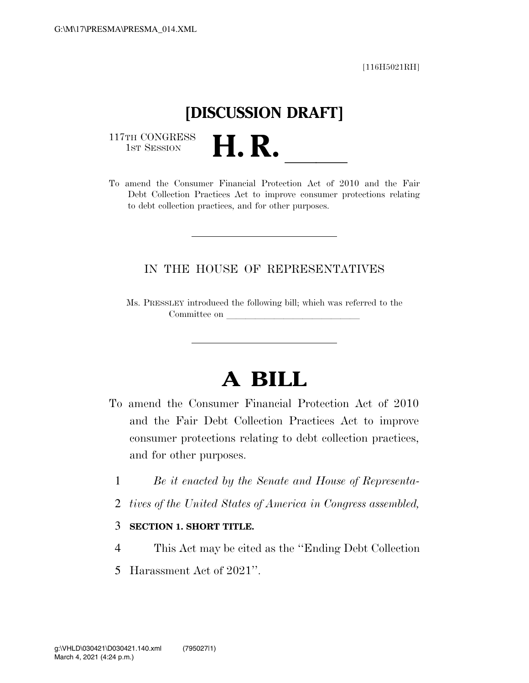[116H5021RH]

## **[DISCUSSION DRAFT]**

117TH CONGRESS<br>1st Session



## IN THE HOUSE OF REPRESENTATIVES

Ms. PRESSLEY introduced the following bill; which was referred to the Committee on

## **A BILL**

- To amend the Consumer Financial Protection Act of 2010 and the Fair Debt Collection Practices Act to improve consumer protections relating to debt collection practices, and for other purposes.
	- 1 *Be it enacted by the Senate and House of Representa-*
	- 2 *tives of the United States of America in Congress assembled,*

## 3 **SECTION 1. SHORT TITLE.**

- 4 This Act may be cited as the ''Ending Debt Collection
- 5 Harassment Act of 2021''.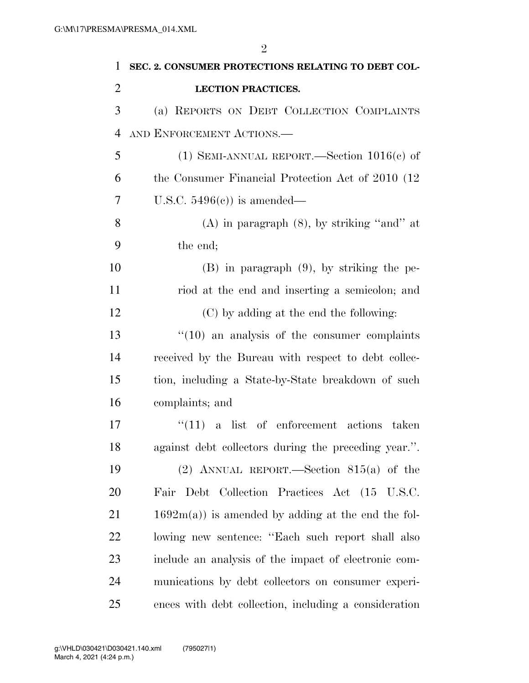**SEC. 2. CONSUMER PROTECTIONS RELATING TO DEBT COL- LECTION PRACTICES.**  (a) REPORTS ON DEBT COLLECTION COMPLAINTS AND ENFORCEMENT ACTIONS.— 5 (1) SEMI-ANNUAL REPORT.—Section  $1016(c)$  of the Consumer Financial Protection Act of 2010 (12 U.S.C. 5496(c)) is amended— 8 (A) in paragraph  $(8)$ , by striking "and" at the end; (B) in paragraph (9), by striking the pe- riod at the end and inserting a semicolon; and (C) by adding at the end the following: 13 ''(10) an analysis of the consumer complaints received by the Bureau with respect to debt collec- tion, including a State-by-State breakdown of such complaints; and 17 ''(11) a list of enforcement actions taken against debt collectors during the preceding year.''. (2) ANNUAL REPORT.—Section 815(a) of the Fair Debt Collection Practices Act (15 U.S.C.  $21 \t 1692m(a)$  is amended by adding at the end the fol- lowing new sentence: ''Each such report shall also include an analysis of the impact of electronic com- munications by debt collectors on consumer experi-ences with debt collection, including a consideration

 $\mathfrak{D}$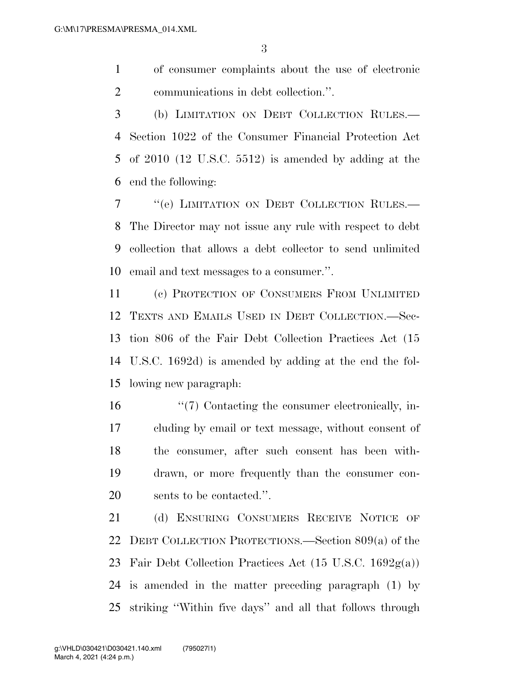of consumer complaints about the use of electronic communications in debt collection.''.

 (b) LIMITATION ON DEBT COLLECTION RULES.— Section 1022 of the Consumer Financial Protection Act of 2010 (12 U.S.C. 5512) is amended by adding at the end the following:

 ''(e) LIMITATION ON DEBT COLLECTION RULES.— The Director may not issue any rule with respect to debt collection that allows a debt collector to send unlimited email and text messages to a consumer.''.

 (c) PROTECTION OF CONSUMERS FROM UNLIMITED TEXTS AND EMAILS USED IN DEBT COLLECTION.—Sec- tion 806 of the Fair Debt Collection Practices Act (15 U.S.C. 1692d) is amended by adding at the end the fol-lowing new paragraph:

 ''(7) Contacting the consumer electronically, in- cluding by email or text message, without consent of the consumer, after such consent has been with- drawn, or more frequently than the consumer con-sents to be contacted.''.

21 (d) ENSURING CONSUMERS RECEIVE NOTICE OF DEBT COLLECTION PROTECTIONS.—Section 809(a) of the 23 Fair Debt Collection Practices Act  $(15 \text{ U.S.C. } 1692 \text{g(a)})$  is amended in the matter preceding paragraph (1) by striking ''Within five days'' and all that follows through